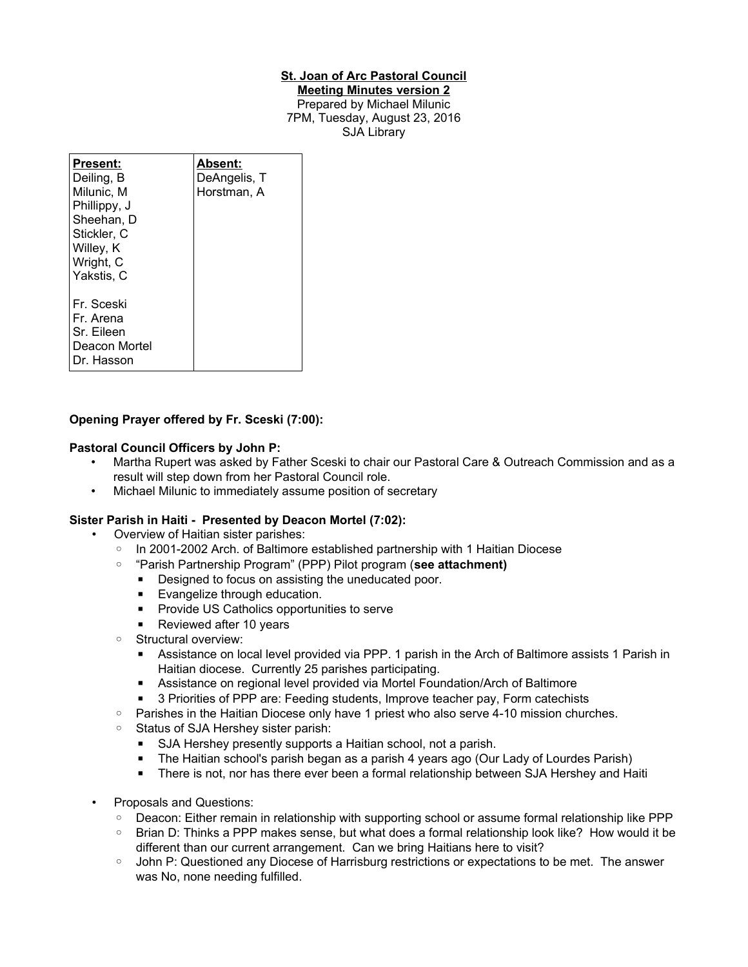#### **St. Joan of Arc Pastoral Council**

**Meeting Minutes version 2** Prepared by Michael Milunic 7PM, Tuesday, August 23, 2016 SJA Library

| Present:<br>Deiling, B<br>Milunic. M<br>Phillippy, J<br>Sheehan, D<br>Stickler, C<br>Willey, K<br>Wright, C<br>Yakstis, C | Absent:<br>DeAngelis, T<br>Horstman, A |
|---------------------------------------------------------------------------------------------------------------------------|----------------------------------------|
| Fr. Sceski<br>Fr. Arena<br>Sr. Eileen<br>Deacon Mortel<br>Dr. Hasson                                                      |                                        |

## **Opening Prayer offered by Fr. Sceski (7:00):**

#### **Pastoral Council Officers by John P:**

- Martha Rupert was asked by Father Sceski to chair our Pastoral Care & Outreach Commission and as a result will step down from her Pastoral Council role.
- Michael Milunic to immediately assume position of secretary

## **Sister Parish in Haiti - Presented by Deacon Mortel (7:02):**

- Overview of Haitian sister parishes:
	- In 2001-2002 Arch. of Baltimore established partnership with 1 Haitian Diocese
	- "Parish Partnership Program" (PPP) Pilot program (**see attachment)**
		- Designed to focus on assisting the uneducated poor.
		- Evangelize through education.
		- Provide US Catholics opportunities to serve
		- Reviewed after 10 years
	- Structural overview:
		- Assistance on local level provided via PPP. 1 parish in the Arch of Baltimore assists 1 Parish in Haitian diocese. Currently 25 parishes participating.
		- Assistance on regional level provided via Mortel Foundation/Arch of Baltimore
		- 3 Priorities of PPP are: Feeding students, Improve teacher pay, Form catechists
	- Parishes in the Haitian Diocese only have 1 priest who also serve 4-10 mission churches.
	- Status of SJA Hershey sister parish:
		- SJA Hershey presently supports a Haitian school, not a parish.
		- The Haitian school's parish began as a parish 4 years ago (Our Lady of Lourdes Parish)
		- There is not, nor has there ever been a formal relationship between SJA Hershey and Haiti
- Proposals and Questions:
	- Deacon: Either remain in relationship with supporting school or assume formal relationship like PPP
	- Brian D: Thinks a PPP makes sense, but what does a formal relationship look like? How would it be different than our current arrangement. Can we bring Haitians here to visit?
	- John P: Questioned any Diocese of Harrisburg restrictions or expectations to be met. The answer was No, none needing fulfilled.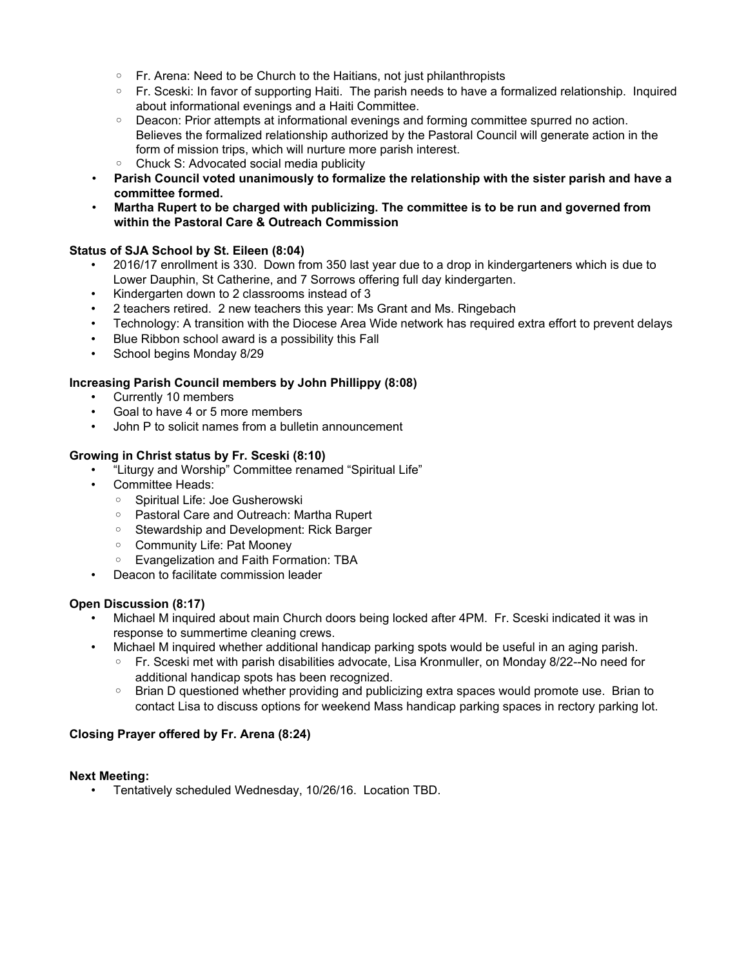- Fr. Arena: Need to be Church to the Haitians, not just philanthropists
- Fr. Sceski: In favor of supporting Haiti. The parish needs to have a formalized relationship. Inquired about informational evenings and a Haiti Committee.
- Deacon: Prior attempts at informational evenings and forming committee spurred no action. Believes the formalized relationship authorized by the Pastoral Council will generate action in the form of mission trips, which will nurture more parish interest.
- Chuck S: Advocated social media publicity
- **Parish Council voted unanimously to formalize the relationship with the sister parish and have a committee formed.**
- **Martha Rupert to be charged with publicizing. The committee is to be run and governed from within the Pastoral Care & Outreach Commission**

## **Status of SJA School by St. Eileen (8:04)**

- 2016/17 enrollment is 330. Down from 350 last year due to a drop in kindergarteners which is due to Lower Dauphin, St Catherine, and 7 Sorrows offering full day kindergarten.
- Kindergarten down to 2 classrooms instead of 3
- 2 teachers retired. 2 new teachers this year: Ms Grant and Ms. Ringebach
- Technology: A transition with the Diocese Area Wide network has required extra effort to prevent delays
- Blue Ribbon school award is a possibility this Fall
- School begins Monday 8/29

## **Increasing Parish Council members by John Phillippy (8:08)**

- Currently 10 members
- Goal to have 4 or 5 more members
- John P to solicit names from a bulletin announcement

## **Growing in Christ status by Fr. Sceski (8:10)**

- "Liturgy and Worship" Committee renamed "Spiritual Life"
- Committee Heads:
	- Spiritual Life: Joe Gusherowski
	- Pastoral Care and Outreach: Martha Rupert
	- Stewardship and Development: Rick Barger
	- Community Life: Pat Mooney
	- Evangelization and Faith Formation: TBA
- Deacon to facilitate commission leader

## **Open Discussion (8:17)**

- Michael M inquired about main Church doors being locked after 4PM. Fr. Sceski indicated it was in response to summertime cleaning crews.
- Michael M inquired whether additional handicap parking spots would be useful in an aging parish.
	- Fr. Sceski met with parish disabilities advocate, Lisa Kronmuller, on Monday 8/22--No need for additional handicap spots has been recognized.
	- Brian D questioned whether providing and publicizing extra spaces would promote use. Brian to contact Lisa to discuss options for weekend Mass handicap parking spaces in rectory parking lot.

## **Closing Prayer offered by Fr. Arena (8:24)**

## **Next Meeting:**

• Tentatively scheduled Wednesday, 10/26/16. Location TBD.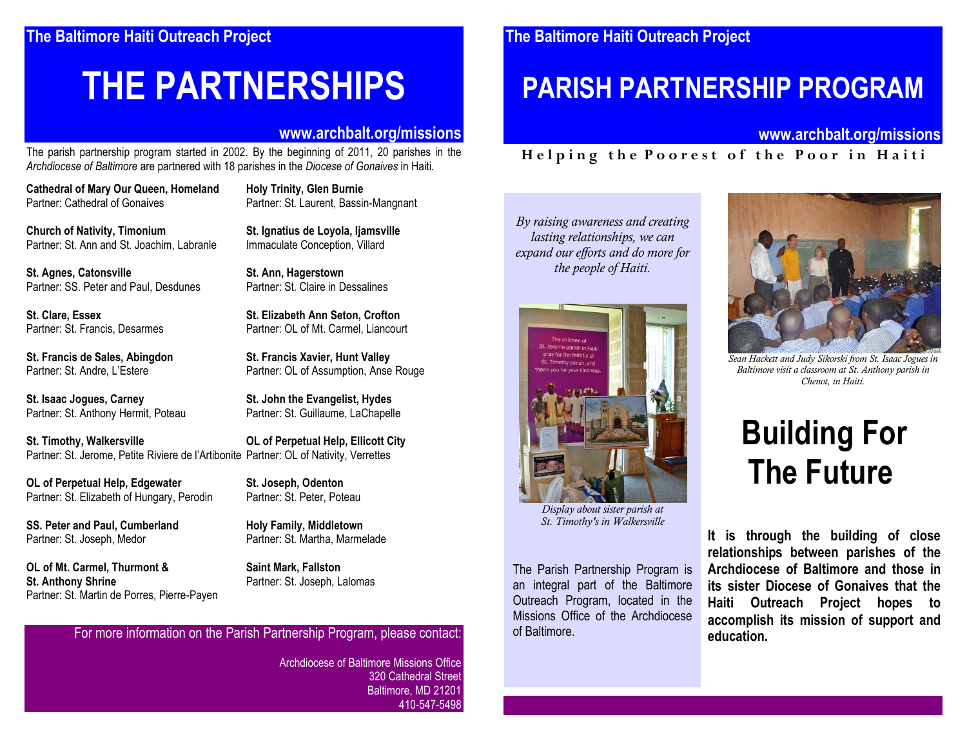# **THE PARTNERSHIPS**

## **www.archbalt.org/missions**

The parish partnership program started in 2002. By the beginning of 2011, 20 parishes in the *Archdiocese of Baltimore* are partnered with 18 parishes in the *Diocese of Gonaives* in Haiti.

**Cathedral of Mary Our Queen, Homeland Holy Trinity, Glen Burnie**

**Church of Nativity, Timonium St. Ignatius de Loyola, Ijamsville** Partner: St. Ann and St. Joachim. Labranle Immaculate Conception. Villard

**St. Agnes, Catonsville St. Ann, Hagerstown**<br> **Partner: SS. Peter and Paul. Desdunes** Partner: St. Claire in Dessalines Partner: SS. Peter and Paul, Desdunes

**St. Francis de Sales, Abingdon St. Francis Xavier, Hunt Valley**

**St. Isaac Jogues, Carney St. John the Evangelist, Hydes** Partner: St. Anthony Hermit, Poteau Partner: St. Guillaume, LaChapelle

**St. Timothy, Walkersville OL of Perpetual Help, Ellicott City** Partner: St. Jerome, Petite Riviere de l'Artibonite Partner: OL of Nativity, Verrettes

**OL of Perpetual Help, Edgewater St. Joseph, Odenton** Partner: St. Elizabeth of Hungary, Perodin Partner: St. Peter, Poteau

**SS. Peter and Paul, Cumberland Holy Family, Middletown** Partner: St. Joseph, Medor Partner: St. Martha, Marmelade

**OL of Mt. Carmel, Thurmont & Saint Mark, Fallston St. Anthony Shrine** Partner: St. Joseph, Lalomas Partner: St. Martin de Porres, Pierre-Payen

Partner: St. Laurent, Bassin-Mangnant

**St. Clare, Essex St. Elizabeth Ann Seton, Crofton** Partner: St. Francis, Desarmes Partner: OL of Mt. Carmel. Liancourt

Partner: St. Andre, L'Estere Partner: OL of Assumption, Anse Rouge

For more information on the Parish Partnership Program, please contact:

Archdiocese of Baltimore Missions Office 320 Cathedral Street Baltimore, MD 21201 410-547-5498

# **PARISH PARTNERSHIP PROGRAM**

## **www.archbalt.org/missions**

# **H e l p i n g t h e P o o r e s t o f t h e P o o r i n H a i t i**

*By raising awareness and creating lasting relationships, we can expand our efforts and do more for the people of Haiti.*



*Display about sister parish at St. Timothy's in Walkersville*

The Parish Partnership Program is an integral part of the Baltimore Outreach Program, located in the Missions Office of the Archdiocese of Baltimore.



*Sean Hackett and Judy Sikorski from St. Isaac Jogues in Baltimore visit a classroom at St. Anthony parish in Chenot, in Haiti.*

# **Building For The Future**

**It is through the building of close relationships between parishes of the Archdiocese of Baltimore and those in its sister Diocese of Gonaives that the Haiti Outreach Project hopes to accomplish its mission of support and education.**